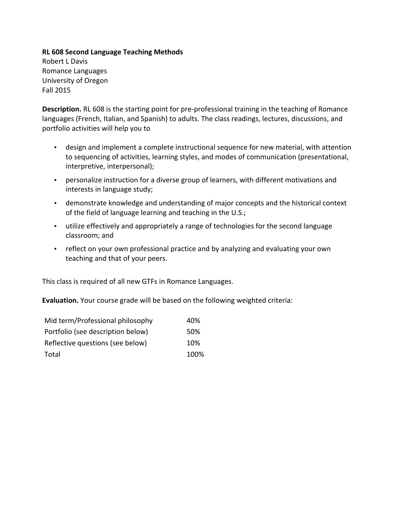**RL 608 Second Language Teaching Methods** Robert L Davis Romance Languages University of Oregon Fall 2015

**Description.** RL 608 is the starting point for pre-professional training in the teaching of Romance languages (French, Italian, and Spanish) to adults. The class readings, lectures, discussions, and portfolio activities will help you to

- design and implement a complete instructional sequence for new material, with attention to sequencing of activities, learning styles, and modes of communication (presentational, interpretive, interpersonal);
- personalize instruction for a diverse group of learners, with different motivations and interests in language study;
- demonstrate knowledge and understanding of major concepts and the historical context of the field of language learning and teaching in the U.S.;
- utilize effectively and appropriately a range of technologies for the second language classroom; and
- reflect on your own professional practice and by analyzing and evaluating your own teaching and that of your peers.

This class is required of all new GTFs in Romance Languages.

**Evaluation.** Your course grade will be based on the following weighted criteria:

| Mid term/Professional philosophy  | 40%  |
|-----------------------------------|------|
| Portfolio (see description below) | 50%  |
| Reflective questions (see below)  | 10%  |
| Total                             | 100% |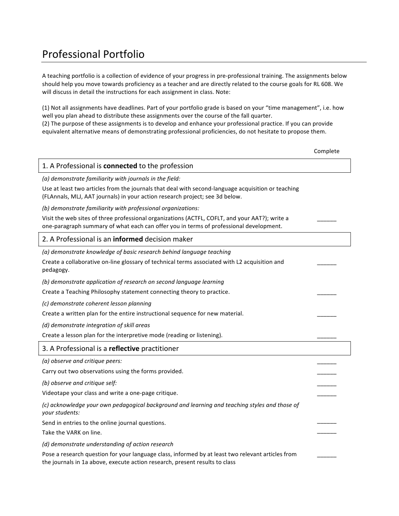# Professional Portfolio

A teaching portfolio is a collection of evidence of your progress in pre-professional training. The assignments below should help you move towards proficiency as a teacher and are directly related to the course goals for RL 608. We will discuss in detail the instructions for each assignment in class. Note:

(1) Not all assignments have deadlines. Part of your portfolio grade is based on your "time management", i.e. how well you plan ahead to distribute these assignments over the course of the fall quarter. (2) The purpose of these assignments is to develop and enhance your professional practice. If you can provide

equivalent alternative means of demonstrating professional proficiencies, do not hesitate to propose them.

Complete

### 1. A Professional is **connected** to the profession *(a) demonstrate familiarity with journals in the field:* Use at least two articles from the journals that deal with second-language acquisition or teaching (FLAnnals, MLJ, AAT journals) in your action research project; see 3d below. *(b) demonstrate familiarity with professional organizations:* Visit the web sites of three professional organizations (ACTFL, COFLT, and your AAT?); write a one-paragraph summary of what each can offer you in terms of professional development.  $\overline{\phantom{a}}$ 2. A Professional is an **informed** decision maker *(a) demonstrate knowledge of basic research behind language teaching* Create a collaborative on-line glossary of technical terms associated with L2 acquisition and pedagogy.  $\overline{\phantom{a}}$ *(b) demonstrate application of research on second language learning* Create a Teaching Philosophy statement connecting theory to practice. *(c) demonstrate coherent lesson planning* Create a written plan for the entire instructional sequence for new material. *(d) demonstrate integration of skill areas* Create a lesson plan for the interpretive mode (reading or listening). 3. A Professional is a **reflective** practitioner *(a) observe and critique peers:* Carry out two observations using the forms provided.  $\overline{\phantom{a}}$  $\overline{\phantom{a}}$ *(b) observe and critique self:* Videotape your class and write a one-page critique. \_\_\_\_\_\_  $\overline{\phantom{a}}$ (c) acknowledge your own pedagogical background and learning and teaching styles and those of *your students:* Send in entries to the online journal questions. Take the VARK on line.  $\overline{\phantom{a}}$  $\overline{\phantom{a}}$ *(d) demonstrate understanding of action research* Pose a research question for your language class, informed by at least two relevant articles from the journals in 1a above, execute action research, present results to class  $\overline{\phantom{a}}$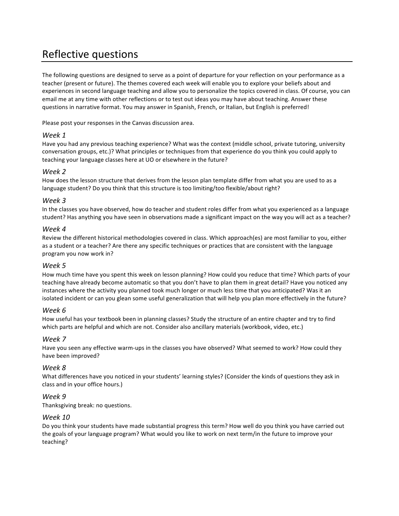# Reflective questions

The following questions are designed to serve as a point of departure for your reflection on your performance as a teacher (present or future). The themes covered each week will enable you to explore your beliefs about and experiences in second language teaching and allow you to personalize the topics covered in class. Of course, you can email me at any time with other reflections or to test out ideas you may have about teaching. Answer these questions in narrative format. You may answer in Spanish, French, or Italian, but English is preferred!

Please post your responses in the Canvas discussion area.

### *Week 1*

Have you had any previous teaching experience? What was the context (middle school, private tutoring, university conversation groups, etc.)? What principles or techniques from that experience do you think you could apply to teaching your language classes here at UO or elsewhere in the future?

## *Week 2*

How does the lesson structure that derives from the lesson plan template differ from what you are used to as a language student? Do you think that this structure is too limiting/too flexible/about right?

## *Week 3*

In the classes you have observed, how do teacher and student roles differ from what you experienced as a language student? Has anything you have seen in observations made a significant impact on the way you will act as a teacher?

### *Week 4*

Review the different historical methodologies covered in class. Which approach(es) are most familiar to you, either as a student or a teacher? Are there any specific techniques or practices that are consistent with the language program you now work in?

### *Week 5*

How much time have you spent this week on lesson planning? How could you reduce that time? Which parts of your teaching have already become automatic so that you don't have to plan them in great detail? Have you noticed any instances where the activity you planned took much longer or much less time that you anticipated? Was it an isolated incident or can you glean some useful generalization that will help you plan more effectively in the future?

## *Week 6*

How useful has your textbook been in planning classes? Study the structure of an entire chapter and try to find which parts are helpful and which are not. Consider also ancillary materials (workbook, video, etc.)

## *Week 7*

Have you seen any effective warm-ups in the classes you have observed? What seemed to work? How could they have been improved?

## *Week 8*

What differences have you noticed in your students' learning styles? (Consider the kinds of questions they ask in class and in your office hours.)

### *Week 9*

Thanksgiving break: no questions.

### *Week 10*

Do you think your students have made substantial progress this term? How well do you think you have carried out the goals of your language program? What would you like to work on next term/in the future to improve your teaching?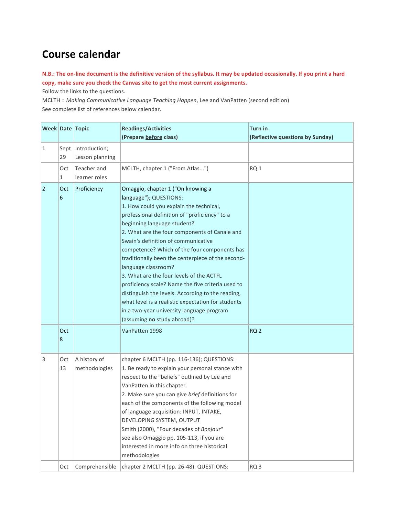# **Course calendar**

## **N.B.:** The on-line document is the definitive version of the syllabus. It may be updated occasionally. If you print a hard copy, make sure you check the Canvas site to get the most current assignments.

Follow the links to the questions.

MCLTH = Making Communicative Language Teaching Happen, Lee and VanPatten (second edition) See complete list of references below calendar.

|                |                        | Week Date Topic                         | <b>Readings/Activities</b><br>(Prepare before class)                                                                                                                                                                                                                                                                                                                                                                                                                                                                                                                                                                                                                                               | <b>Turn in</b><br>(Reflective questions by Sunday) |
|----------------|------------------------|-----------------------------------------|----------------------------------------------------------------------------------------------------------------------------------------------------------------------------------------------------------------------------------------------------------------------------------------------------------------------------------------------------------------------------------------------------------------------------------------------------------------------------------------------------------------------------------------------------------------------------------------------------------------------------------------------------------------------------------------------------|----------------------------------------------------|
| $\mathbf{1}$   | 29                     | Sept   Introduction;<br>Lesson planning |                                                                                                                                                                                                                                                                                                                                                                                                                                                                                                                                                                                                                                                                                                    |                                                    |
|                | Oct<br>1               | Teacher and<br>learner roles            | MCLTH, chapter 1 ("From Atlas")                                                                                                                                                                                                                                                                                                                                                                                                                                                                                                                                                                                                                                                                    | RQ <sub>1</sub>                                    |
| $\overline{2}$ | Oct<br>$6\overline{6}$ | Proficiency                             | Omaggio, chapter 1 ("On knowing a<br>language"); QUESTIONS:<br>1. How could you explain the technical,<br>professional definition of "proficiency" to a<br>beginning language student?<br>2. What are the four components of Canale and<br>Swain's definition of communicative<br>competence? Which of the four components has<br>traditionally been the centerpiece of the second-<br>language classroom?<br>3. What are the four levels of the ACTFL<br>proficiency scale? Name the five criteria used to<br>distinguish the levels. According to the reading,<br>what level is a realistic expectation for students<br>in a two-year university language program<br>(assuming no study abroad)? |                                                    |
|                | Oct<br>8               |                                         | VanPatten 1998                                                                                                                                                                                                                                                                                                                                                                                                                                                                                                                                                                                                                                                                                     | RQ <sub>2</sub>                                    |
| 3              | Oct<br>13              | A history of<br>methodologies           | chapter 6 MCLTH (pp. 116-136); QUESTIONS:<br>1. Be ready to explain your personal stance with<br>respect to the "beliefs" outlined by Lee and<br>VanPatten in this chapter.<br>2. Make sure you can give brief definitions for<br>each of the components of the following model<br>of language acquisition: INPUT, INTAKE,<br>DEVELOPING SYSTEM, OUTPUT<br>Smith (2000), "Four decades of Bonjour"<br>see also Omaggio pp. 105-113, if you are<br>interested in more info on three historical<br>methodologies                                                                                                                                                                                     |                                                    |
|                | Oct                    | Comprehensible                          | chapter 2 MCLTH (pp. 26-48): QUESTIONS:                                                                                                                                                                                                                                                                                                                                                                                                                                                                                                                                                                                                                                                            | RQ <sub>3</sub>                                    |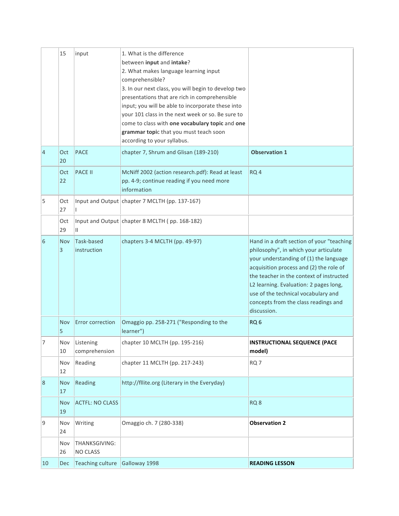|                | 15         | input                            | 1. What is the difference<br>between input and intake?<br>2. What makes language learning input<br>comprehensible?<br>3. In our next class, you will begin to develop two<br>presentations that are rich in comprehensible<br>input; you will be able to incorporate these into<br>your 101 class in the next week or so. Be sure to<br>come to class with one vocabulary topic and one<br>grammar topic that you must teach soon<br>according to your syllabus. |                                                                                                                                                                                                                                                                                                                                                             |
|----------------|------------|----------------------------------|------------------------------------------------------------------------------------------------------------------------------------------------------------------------------------------------------------------------------------------------------------------------------------------------------------------------------------------------------------------------------------------------------------------------------------------------------------------|-------------------------------------------------------------------------------------------------------------------------------------------------------------------------------------------------------------------------------------------------------------------------------------------------------------------------------------------------------------|
| $\overline{4}$ | Oct<br>20  | <b>PACE</b>                      | chapter 7, Shrum and Glisan (189-210)                                                                                                                                                                                                                                                                                                                                                                                                                            | <b>Observation 1</b>                                                                                                                                                                                                                                                                                                                                        |
|                | Oct<br>22  | <b>PACE II</b>                   | McNiff 2002 (action research.pdf): Read at least<br>pp. 4-9; continue reading if you need more<br>information                                                                                                                                                                                                                                                                                                                                                    | RQ <sub>4</sub>                                                                                                                                                                                                                                                                                                                                             |
| 5              | Oct<br>27  | T                                | Input and Output   chapter 7 MCLTH (pp. 137-167)                                                                                                                                                                                                                                                                                                                                                                                                                 |                                                                                                                                                                                                                                                                                                                                                             |
|                | Oct<br>29  | Ш                                | Input and Output chapter 8 MCLTH (pp. 168-182)                                                                                                                                                                                                                                                                                                                                                                                                                   |                                                                                                                                                                                                                                                                                                                                                             |
| 6              | Nov<br>3   | Task-based<br>instruction        | chapters 3-4 MCLTH (pp. 49-97)                                                                                                                                                                                                                                                                                                                                                                                                                                   | Hand in a draft section of your "teaching<br>philosophy", in which your articulate<br>your understanding of (1) the language<br>acquisition process and (2) the role of<br>the teacher in the context of instructed<br>L2 learning. Evaluation: 2 pages long,<br>use of the technical vocabulary and<br>concepts from the class readings and<br>discussion. |
|                | Nov<br>5   | Error correction                 | Omaggio pp. 258-271 ("Responding to the<br>learner")                                                                                                                                                                                                                                                                                                                                                                                                             | RQ <sub>6</sub>                                                                                                                                                                                                                                                                                                                                             |
| 7              | Nov<br>10  | Listening<br>comprehension       | chapter 10 MCLTH (pp. 195-216)                                                                                                                                                                                                                                                                                                                                                                                                                                   | <b>INSTRUCTIONAL SEQUENCE (PACE</b><br>model)                                                                                                                                                                                                                                                                                                               |
|                | Nov<br>12  | Reading                          | chapter 11 MCLTH (pp. 217-243)                                                                                                                                                                                                                                                                                                                                                                                                                                   | RQ <sub>7</sub>                                                                                                                                                                                                                                                                                                                                             |
| $\overline{8}$ | Nov<br>17  | Reading                          | http://fllite.org (Literary in the Everyday)                                                                                                                                                                                                                                                                                                                                                                                                                     |                                                                                                                                                                                                                                                                                                                                                             |
|                | Nov<br>19  | <b>ACTFL: NO CLASS</b>           |                                                                                                                                                                                                                                                                                                                                                                                                                                                                  | RQ <sub>8</sub>                                                                                                                                                                                                                                                                                                                                             |
| 9              | Nov<br>24  | Writing                          | Omaggio ch. 7 (280-338)                                                                                                                                                                                                                                                                                                                                                                                                                                          | <b>Observation 2</b>                                                                                                                                                                                                                                                                                                                                        |
|                | Nov<br>26  | THANKSGIVING:<br><b>NO CLASS</b> |                                                                                                                                                                                                                                                                                                                                                                                                                                                                  |                                                                                                                                                                                                                                                                                                                                                             |
| 10             | <b>Dec</b> | Teaching culture                 | Galloway 1998                                                                                                                                                                                                                                                                                                                                                                                                                                                    | <b>READING LESSON</b>                                                                                                                                                                                                                                                                                                                                       |